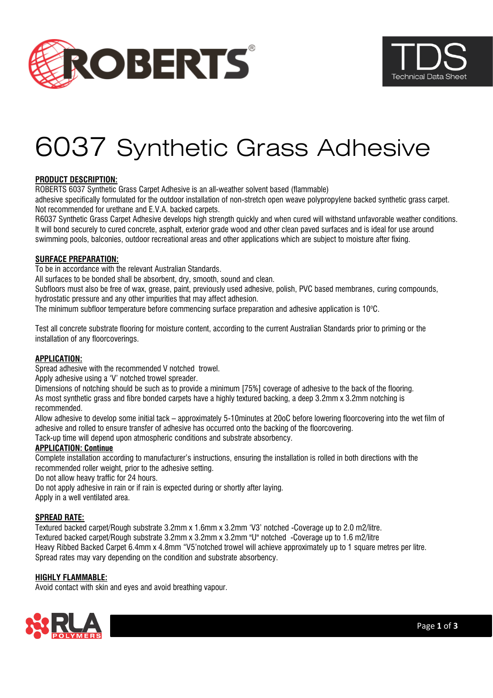



# 6037 Synthetic Grass Adhesive

# **PRODUCT DESCRIPTION:**

ROBERTS 6037 Synthetic Grass Carpet Adhesive is an all-weather solvent based (flammable)

adhesive specifically formulated for the outdoor installation of non-stretch open weave polypropylene backed synthetic grass carpet. Not recommended for urethane and E.V.A. backed carpets.

R6037 Synthetic Grass Carpet Adhesive develops high strength quickly and when cured will withstand unfavorable weather conditions. It will bond securely to cured concrete, asphalt, exterior grade wood and other clean paved surfaces and is ideal for use around swimming pools, balconies, outdoor recreational areas and other applications which are subject to moisture after fixing.

### **SURFACE PREPARATION:**

To be in accordance with the relevant Australian Standards.

All surfaces to be bonded shall be absorbent, dry, smooth, sound and clean.

Subfloors must also be free of wax, grease, paint, previously used adhesive, polish, PVC based membranes, curing compounds, hydrostatic pressure and any other impurities that may affect adhesion.

The minimum subfloor temperature before commencing surface preparation and adhesive application is  $10^{\circ}$ C.

Test all concrete substrate flooring for moisture content, according to the current Australian Standards prior to priming or the installation of any floorcoverings.

### **APPLICATION:**

Spread adhesive with the recommended V notched trowel.

Apply adhesive using a 'V' notched trowel spreader.

Dimensions of notching should be such as to provide a minimum [75%] coverage of adhesive to the back of the flooring. As most synthetic grass and fibre bonded carpets have a highly textured backing, a deep 3.2mm x 3.2mm notching is recommended.

Allow adhesive to develop some initial tack – approximately 5-10minutes at 20oC before lowering floorcovering into the wet film of adhesive and rolled to ensure transfer of adhesive has occurred onto the backing of the floorcovering.

Tack-up time will depend upon atmospheric conditions and substrate absorbency.

# **APPLICATION: Continue**

Complete installation according to manufacturer's instructions, ensuring the installation is rolled in both directions with the recommended roller weight, prior to the adhesive setting.

Do not allow heavy traffic for 24 hours.

Do not apply adhesive in rain or if rain is expected during or shortly after laying.

Apply in a well ventilated area.

### **SPREAD RATE:**

Textured backed carpet/Rough substrate 3.2mm x 1.6mm x 3.2mm 'V3' notched -Coverage up to 2.0 m2/litre. Textured backed carpet/Rough substrate 3.2mm x 3.2mm x 3.2mm "U" notched -Coverage up to 1.6 m2/litre Heavy Ribbed Backed Carpet 6.4mm x 4.8mm "V5'notched trowel will achieve approximately up to 1 square metres per litre. Spread rates may vary depending on the condition and substrate absorbency.

### **HIGHLY FLAMMABLE:**

Avoid contact with skin and eyes and avoid breathing vapour.

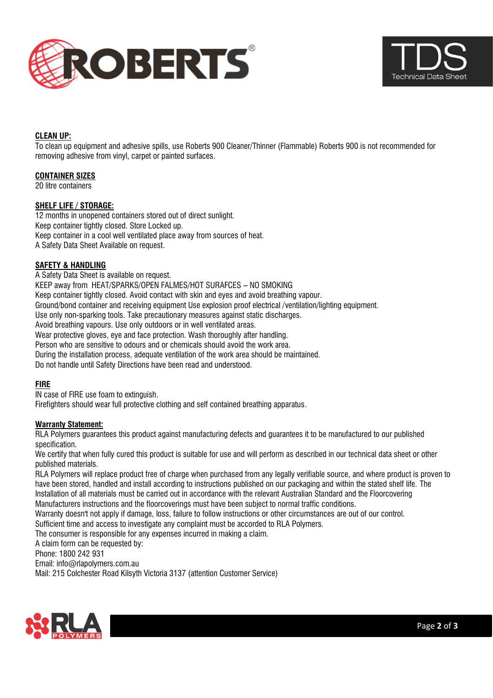



## **CLEAN UP:**

To clean up equipment and adhesive spills, use Roberts 900 Cleaner/Thinner (Flammable) Roberts 900 is not recommended for removing adhesive from vinyl, carpet or painted surfaces.

## **CONTAINER SIZES**

20 litre containers

### **SHELF LIFE / STORAGE:**

12 months in unopened containers stored out of direct sunlight. Keep container tightly closed. Store Locked up. Keep container in a cool well ventilated place away from sources of heat. A Safety Data Sheet Available on request.

### **SAFETY & HANDLING**

A Safety Data Sheet is available on request. KEEP away from HEAT/SPARKS/OPEN FALMES/HOT SURAFCES – NO SMOKING Keep container tightly closed. Avoid contact with skin and eyes and avoid breathing vapour. Ground/bond container and receiving equipment Use explosion proof electrical /ventilation/lighting equipment. Use only non-sparking tools. Take precautionary measures against static discharges. Avoid breathing vapours. Use only outdoors or in well ventilated areas. Wear protective gloves, eve and face protection. Wash thoroughly after handling. Person who are sensitive to odours and or chemicals should avoid the work area. During the installation process, adequate ventilation of the work area should be maintained. Do not handle until Safety Directions have been read and understood.

### **FIRE**

IN case of FIRE use foam to extinguish. Firefighters should wear full protective clothing and self contained breathing apparatus.

### **Warranty Statement:**

RLA Polymers guarantees this product against manufacturing defects and guarantees it to be manufactured to our published specification.

We certify that when fully cured this product is suitable for use and will perform as described in our technical data sheet or other published materials.

RLA Polymers will replace product free of charge when purchased from any legally verifiable source, and where product is proven to have been stored, handled and install according to instructions published on our packaging and within the stated shelf life. The Installation of all materials must be carried out in accordance with the relevant Australian Standard and the Floorcovering Manufacturers instructions and the floorcoverings must have been subject to normal traffic conditions.

Warranty doesn't not apply if damage, loss, failure to follow instructions or other circumstances are out of our control.

Sufficient time and access to investigate any complaint must be accorded to RLA Polymers.

The consumer is responsible for any expenses incurred in making a claim.

A claim form can be requested by:

Phone: 1800 242 931

Email: info@rlapolymers.com.au

Mail: 215 Colchester Road Kilsyth Victoria 3137 (attention Customer Service)